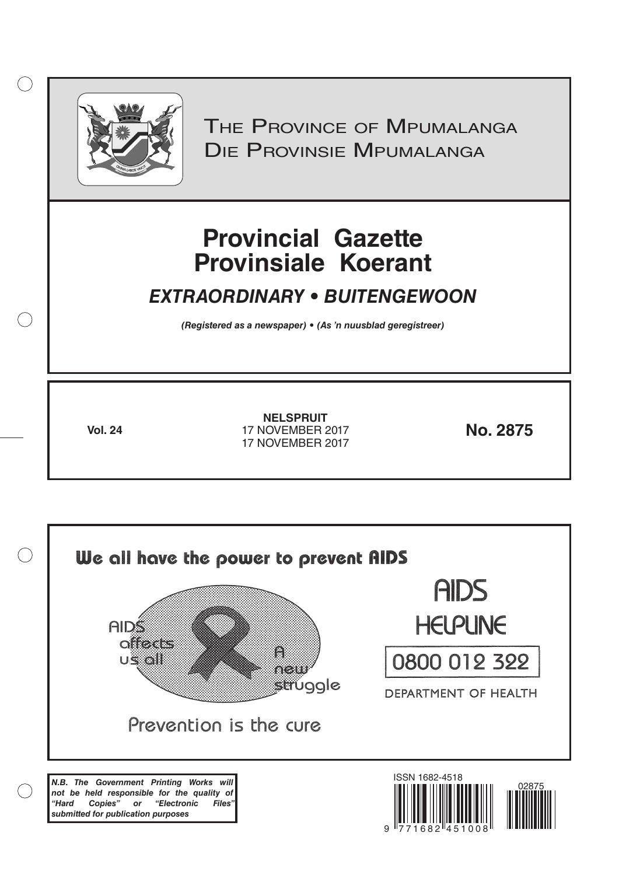

 $( )$ 

THE PROVINCE OF MPUMALANGA Die Provinsie Mpumalanga

# **Provincial Gazette Provinsiale Koerant**

## *EXTRAORDINARY • BUITENGEWOON*

*(Registered as a newspaper) • (As 'n nuusblad geregistreer)*

**Vol. 24 No. 2875** 17 NOVEMBER 2017 **NELSPRUIT** 17 NOVEMBER 2017

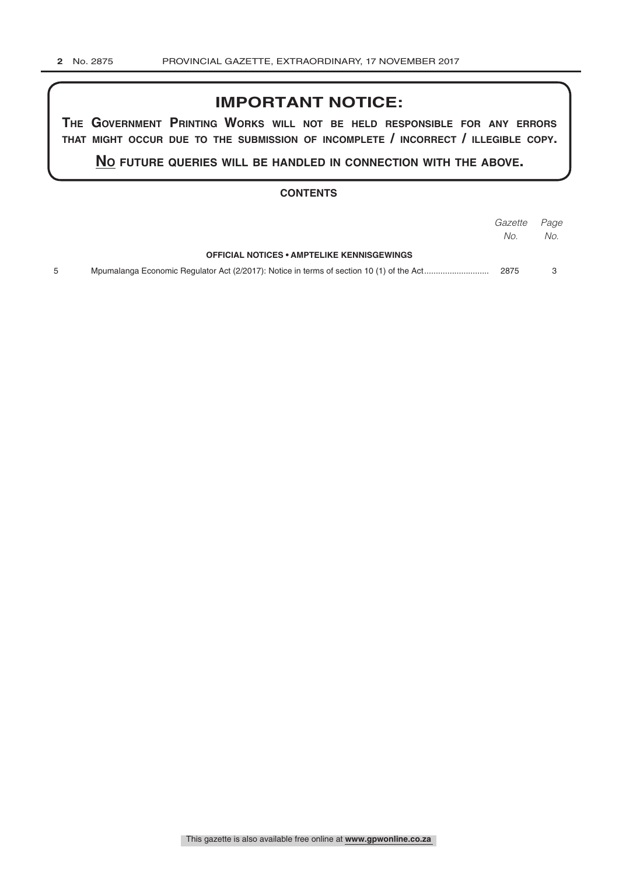## **IMPORTANT NOTICE:**

**The GovernmenT PrinTinG Works Will noT be held resPonsible for any errors ThaT miGhT occur due To The submission of incomPleTe / incorrecT / illeGible coPy.**

**no fuTure queries Will be handled in connecTion WiTh The above.**

#### **CONTENTS**

|                                                   | Gazette Page |     |
|---------------------------------------------------|--------------|-----|
|                                                   | No.          | No. |
| <b>OFFICIAL NOTICES • AMPTELIKE KENNISGEWINGS</b> |              |     |
|                                                   | 2875         |     |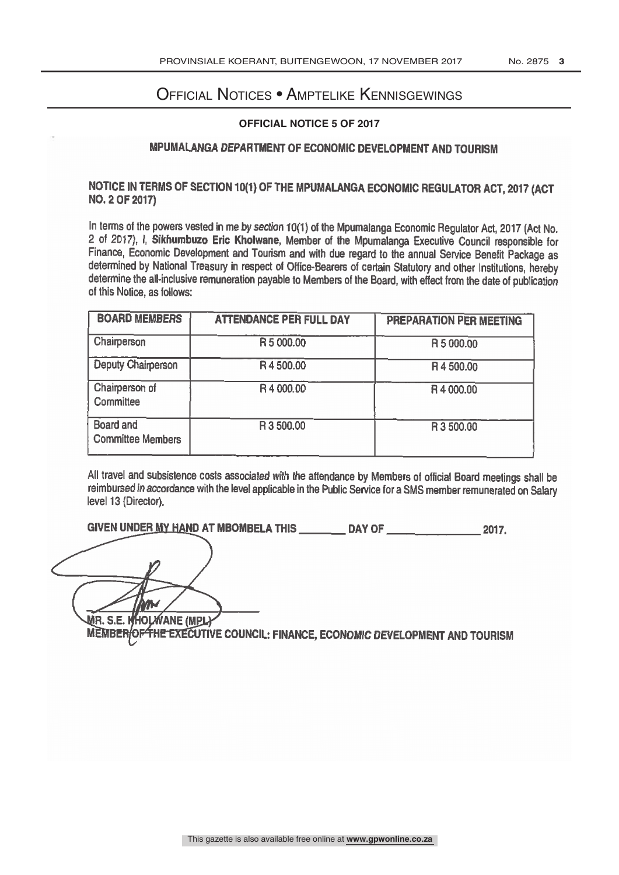## Official Notices • Amptelike Kennisgewings

#### **OFFICIAL NOTICE 5 OF 2017**

### MPUMALANGA DEPARTMENT OF ECONOMIC DEVELOPMENT AND TOURISM

Notice of 2017 and 2017 and 2017 and 2017 and 2017 and 2017 and 2017 and 2017 and 2017 and 2017 and 2017 and 20

## NOTICE IN TERMS OF SECTION 10(1) OF THE MPUMALANGA ECONOMIC REGULATOR ACT, 2017 (ACT NO. 2 OF 2017)

In terms of the powers vested in me by section 10(1) of the Mpumalanga Economic Regulator Act, 2017 (Act No. 2 of 2017), I, Sikhumbuzo Eric Kholwane, Member of the Mpumalanga Executive Council responsible for Finance, Economic Development and Tourism and with due regard to the annual Service Benefit Package as determined by National Treasury in respect of Office -Bearers of certain Statutory and other institutions, hereby determine the all-inclusive remuneration payable to Members of the Board, with effect from the date of publication of this Notice, as follows:

| <b>BOARD MEMBERS</b>                         | <b>ATTENDANCE PER FULL DAY</b> | <b>PREPARATION PER MEETING</b> |
|----------------------------------------------|--------------------------------|--------------------------------|
| Chairperson                                  | R 5 000.00                     | R 5 000.00                     |
| <b>Deputy Chairperson</b>                    | R4500.00                       | R4500.00                       |
| Chairperson of<br>Committee                  | R4 000.00                      | R4 000.00                      |
| <b>Board and</b><br><b>Committee Members</b> | R 3 500,00                     | R 3 500.00                     |

All travel and subsistence costs associated with the attendance by Members of official Board meetings shall be reimbursed in accordance with the level applicable in the Public Service for a SMS member remunerated on Salary level 13 (Director).

GIVEN UNDER <u>MY HAN</u>D AT MBOMBELA THIS \_\_\_\_\_\_\_\_\_\_ DAY OF \_\_\_\_\_\_\_\_\_\_\_\_\_\_\_\_\_\_ 2017.

MEMB<del>ER|OF THE E</del>XECUTIVE COUNCIL: FINANCE, ECONOMIC DEVELOPMENT AND TOURISM MR. S.E. KHOLWANE (MPL)